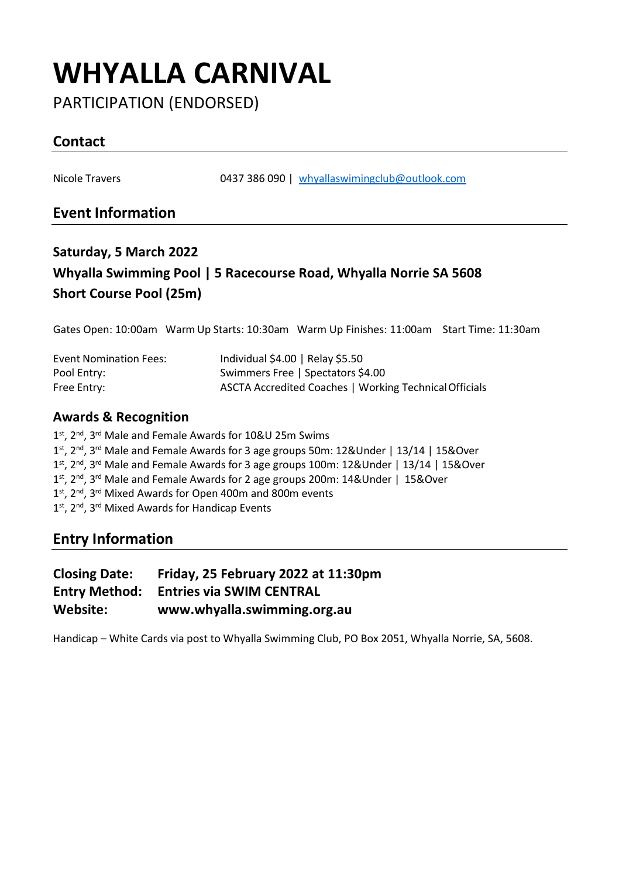## **WHYALLA CARNIVAL**

PARTICIPATION (ENDORSED)

## **Contact**

Nicole Travers 0437 386 090 | [whyallaswimingclub@outlook.com](mailto:whyallaswimingclub@outlook.com)

### **Event Information**

## **Saturday, 5 March 2022 Whyalla Swimming Pool | 5 Racecourse Road, Whyalla Norrie SA 5608 Short Course Pool (25m)**

Gates Open: 10:00am Warm Up Starts: 10:30am Warm Up Finishes: 11:00am Start Time: 11:30am

| <b>Event Nomination Fees:</b> | Individual \$4.00   Relay \$5.50                       |
|-------------------------------|--------------------------------------------------------|
| Pool Entry:                   | Swimmers Free   Spectators \$4.00                      |
| Free Entry:                   | ASCTA Accredited Coaches   Working Technical Officials |

#### **Awards & Recognition**

1 st, 2nd, 3rd Male and Female Awards for 10&U 25m Swims 1<sup>st</sup>, 2<sup>nd</sup>, 3<sup>rd</sup> Male and Female Awards for 3 age groups 50m: 12&Under | 13/14 | 15&Over 1<sup>st</sup>, 2<sup>nd</sup>, 3<sup>rd</sup> Male and Female Awards for 3 age groups 100m: 12&Under | 13/14 | 15&Over 1st, 2<sup>nd</sup>, 3<sup>rd</sup> Male and Female Awards for 2 age groups 200m: 14&Under | 15&Over 1<sup>st</sup>, 2<sup>nd</sup>, 3<sup>rd</sup> Mixed Awards for Open 400m and 800m events 1<sup>st</sup>, 2<sup>nd</sup>, 3<sup>rd</sup> Mixed Awards for Handicap Events

### **Entry Information**

| <b>Closing Date:</b> | Friday, 25 February 2022 at 11:30pm |
|----------------------|-------------------------------------|
| <b>Entry Method:</b> | <b>Entries via SWIM CENTRAL</b>     |
| Website:             | www.whyalla.swimming.org.au         |

Handicap – White Cards via post to Whyalla Swimming Club, PO Box 2051, Whyalla Norrie, SA, 5608.